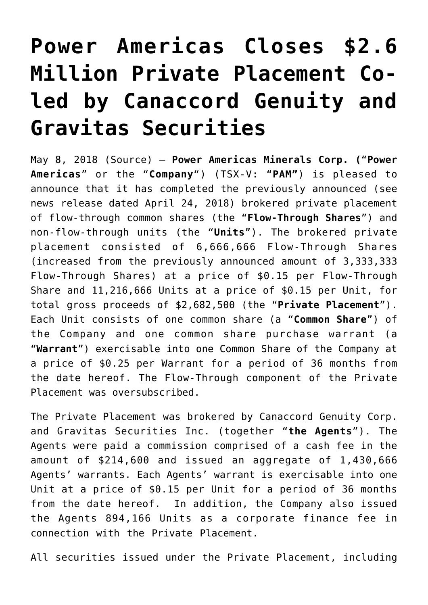## **[Power Americas Closes \\$2.6](https://investorintel.com/markets/gold-silver-base-metals/gold-precious-metals-news/power-americas-closes-2-6-million-private-placement-co-led-canaccord-genuity-gravitas-securities/) [Million Private Placement Co](https://investorintel.com/markets/gold-silver-base-metals/gold-precious-metals-news/power-americas-closes-2-6-million-private-placement-co-led-canaccord-genuity-gravitas-securities/)[led by Canaccord Genuity and](https://investorintel.com/markets/gold-silver-base-metals/gold-precious-metals-news/power-americas-closes-2-6-million-private-placement-co-led-canaccord-genuity-gravitas-securities/) [Gravitas Securities](https://investorintel.com/markets/gold-silver-base-metals/gold-precious-metals-news/power-americas-closes-2-6-million-private-placement-co-led-canaccord-genuity-gravitas-securities/)**

May 8, 2018 ([Source](https://www.newsfilecorp.com/release/34533/Power-Americas-Closes-2.6-Million-Private-Placement-Coled-by-Canaccord-Genuity-and-Gravitas-Securities)) — **Power Americas Minerals Corp. (**"**Power Americas**" or the "**Company**") (TSX-V: "**PAM"**) is pleased to announce that it has completed the previously announced (see news release dated April 24, 2018) brokered private placement of flow-through common shares (the "**Flow-Through Shares**") and non-flow-through units (the "**Units**"). The brokered private placement consisted of 6,666,666 Flow-Through Shares (increased from the previously announced amount of 3,333,333 Flow-Through Shares) at a price of \$0.15 per Flow-Through Share and 11,216,666 Units at a price of \$0.15 per Unit, for total gross proceeds of \$2,682,500 (the "**Private Placement**"). Each Unit consists of one common share (a "**Common Share**") of the Company and one common share purchase warrant (a "**Warrant**") exercisable into one Common Share of the Company at a price of \$0.25 per Warrant for a period of 36 months from the date hereof. The Flow-Through component of the Private Placement was oversubscribed.

The Private Placement was brokered by Canaccord Genuity Corp. and Gravitas Securities Inc. (together "**the Agents**"). The Agents were paid a commission comprised of a cash fee in the amount of \$214,600 and issued an aggregate of 1,430,666 Agents' warrants. Each Agents' warrant is exercisable into one Unit at a price of \$0.15 per Unit for a period of 36 months from the date hereof. In addition, the Company also issued the Agents 894,166 Units as a corporate finance fee in connection with the Private Placement.

All securities issued under the Private Placement, including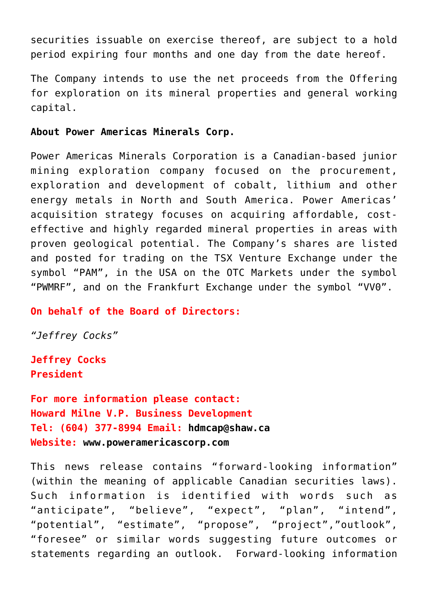securities issuable on exercise thereof, are subject to a hold period expiring four months and one day from the date hereof.

The Company intends to use the net proceeds from the Offering for exploration on its mineral properties and general working capital.

## **About Power Americas Minerals Corp.**

Power Americas Minerals Corporation is a Canadian-based junior mining exploration company focused on the procurement, exploration and development of cobalt, lithium and other energy metals in North and South America. Power Americas' acquisition strategy focuses on acquiring affordable, costeffective and highly regarded mineral properties in areas with proven geological potential. The Company's shares are listed and posted for trading on the TSX Venture Exchange under the symbol "PAM", in the USA on the OTC Markets under the symbol "PWMRF", and on the Frankfurt Exchange under the symbol "VV0".

## **On behalf of the Board of Directors:**

*"Jeffrey Cocks"*

**Jeffrey Cocks President**

```
For more information please contact:
Howard Milne V.P. Business Development
Tel: (604) 377-8994 Email: hdmcap@shaw.ca
Website: www.poweramericascorp.com
```
This news release contains "forward-looking information" (within the meaning of applicable Canadian securities laws). Such information is identified with words such as "anticipate", "believe", "expect", "plan", "intend", "potential", "estimate", "propose", "project","outlook", "foresee" or similar words suggesting future outcomes or statements regarding an outlook. Forward-looking information